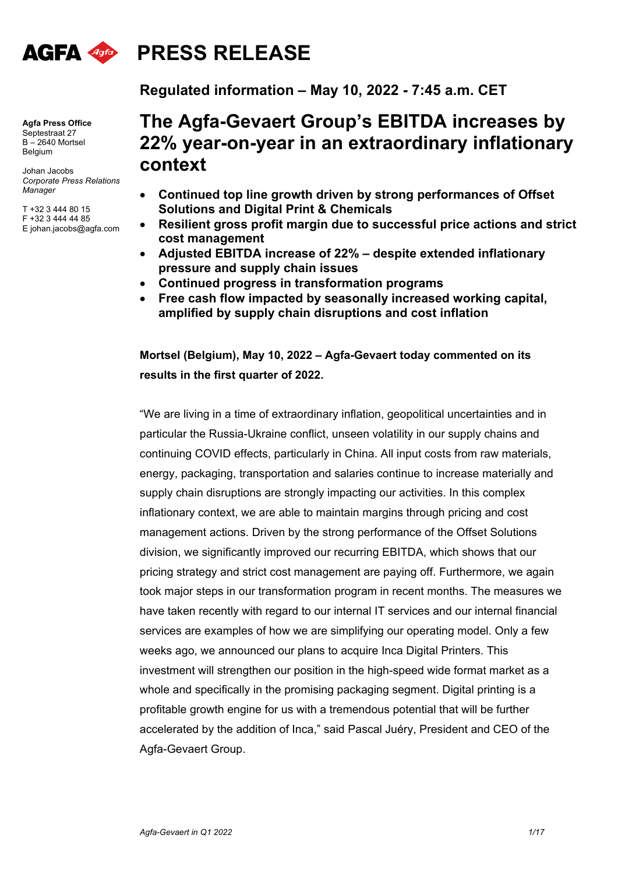

# **PRESS RELEASE**

**Agfa Press Office**  Septestraat 27  $B - 2640$  Mortsel Belgium

Johan Jacobs *Corporate Press Relations Manager*

T +32 3 444 80 15 F +32 3 444 44 85 E johan.jacobs@agfa.com

# **The Agfa-Gevaert Group's EBITDA increases by 22% year-on-year in an extraordinary inflationary**

**Regulated information – May 10, 2022 - 7:45 a.m. CET** 

## **context**

- **Continued top line growth driven by strong performances of Offset Solutions and Digital Print & Chemicals**
- **Resilient gross profit margin due to successful price actions and strict cost management**
- **Adjusted EBITDA increase of 22% despite extended inflationary pressure and supply chain issues**
- **Continued progress in transformation programs**
- **Free cash flow impacted by seasonally increased working capital, amplified by supply chain disruptions and cost inflation**

**Mortsel (Belgium), May 10, 2022 – Agfa-Gevaert today commented on its results in the first quarter of 2022.** 

"We are living in a time of extraordinary inflation, geopolitical uncertainties and in particular the Russia-Ukraine conflict, unseen volatility in our supply chains and continuing COVID effects, particularly in China. All input costs from raw materials, energy, packaging, transportation and salaries continue to increase materially and supply chain disruptions are strongly impacting our activities. In this complex inflationary context, we are able to maintain margins through pricing and cost management actions. Driven by the strong performance of the Offset Solutions division, we significantly improved our recurring EBITDA, which shows that our pricing strategy and strict cost management are paying off. Furthermore, we again took major steps in our transformation program in recent months. The measures we have taken recently with regard to our internal IT services and our internal financial services are examples of how we are simplifying our operating model. Only a few weeks ago, we announced our plans to acquire Inca Digital Printers. This investment will strengthen our position in the high-speed wide format market as a whole and specifically in the promising packaging segment. Digital printing is a profitable growth engine for us with a tremendous potential that will be further accelerated by the addition of Inca," said Pascal Juéry, President and CEO of the Agfa-Gevaert Group.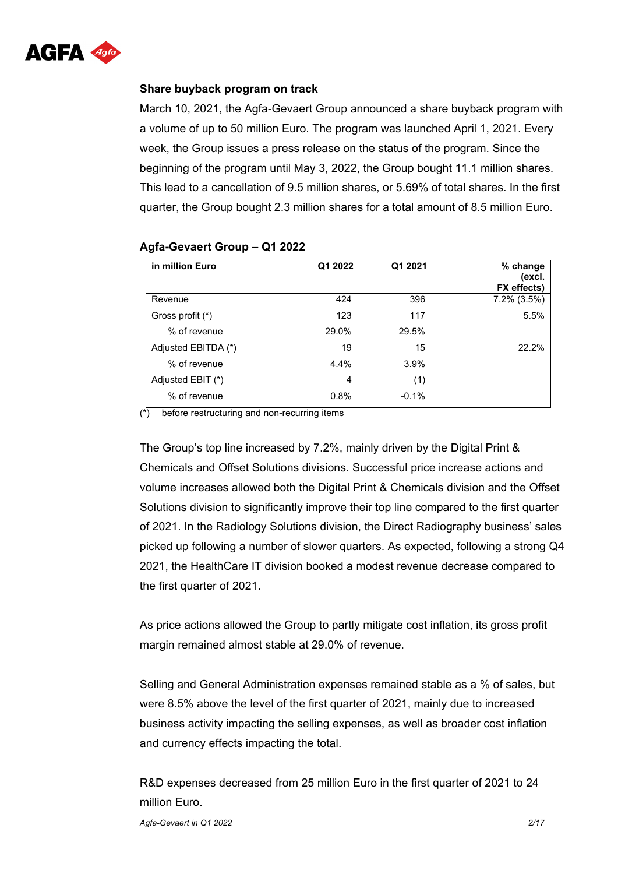

#### **Share buyback program on track**

March 10, 2021, the Agfa-Gevaert Group announced a share buyback program with a volume of up to 50 million Euro. The program was launched April 1, 2021. Every week, the Group issues a press release on the status of the program. Since the beginning of the program until May 3, 2022, the Group bought 11.1 million shares. This lead to a cancellation of 9.5 million shares, or 5.69% of total shares. In the first quarter, the Group bought 2.3 million shares for a total amount of 8.5 million Euro.

| in million Euro     | Q1 2022 | Q1 2021 | % change<br>(excl.<br>FX effects) |
|---------------------|---------|---------|-----------------------------------|
| Revenue             | 424     | 396     | 7.2% (3.5%)                       |
| Gross profit (*)    | 123     | 117     | 5.5%                              |
| % of revenue        | 29.0%   | 29.5%   |                                   |
| Adjusted EBITDA (*) | 19      | 15      | 22.2%                             |
| % of revenue        | 4.4%    | 3.9%    |                                   |
| Adjusted EBIT (*)   | 4       | (1)     |                                   |
| % of revenue        | 0.8%    | $-0.1%$ |                                   |

#### **Agfa-Gevaert Group – Q1 2022**

(\*) before restructuring and non-recurring items

The Group's top line increased by 7.2%, mainly driven by the Digital Print & Chemicals and Offset Solutions divisions. Successful price increase actions and volume increases allowed both the Digital Print & Chemicals division and the Offset Solutions division to significantly improve their top line compared to the first quarter of 2021. In the Radiology Solutions division, the Direct Radiography business' sales picked up following a number of slower quarters. As expected, following a strong Q4 2021, the HealthCare IT division booked a modest revenue decrease compared to the first quarter of 2021.

As price actions allowed the Group to partly mitigate cost inflation, its gross profit margin remained almost stable at 29.0% of revenue.

Selling and General Administration expenses remained stable as a % of sales, but were 8.5% above the level of the first quarter of 2021, mainly due to increased business activity impacting the selling expenses, as well as broader cost inflation and currency effects impacting the total.

R&D expenses decreased from 25 million Euro in the first quarter of 2021 to 24 million Euro.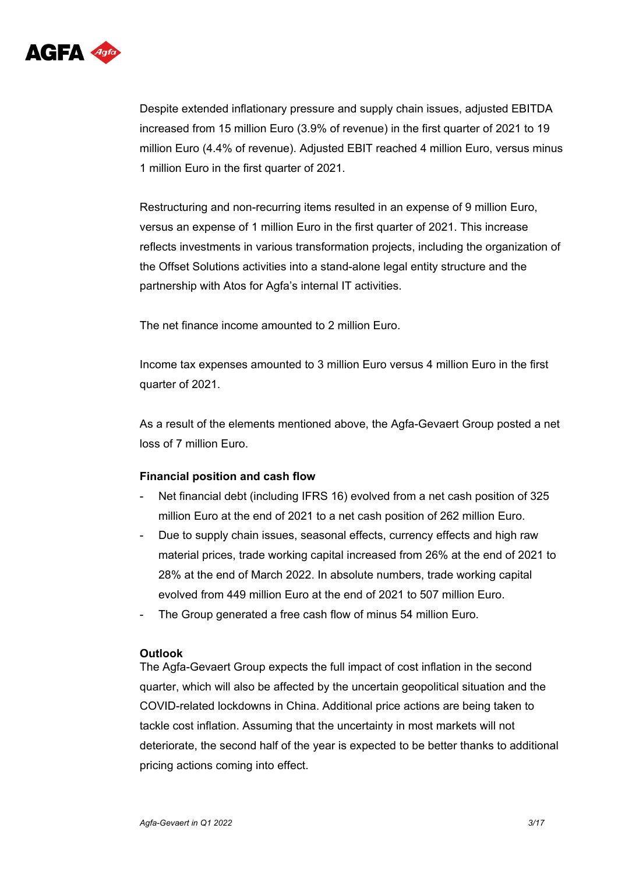

Despite extended inflationary pressure and supply chain issues, adjusted EBITDA increased from 15 million Euro (3.9% of revenue) in the first quarter of 2021 to 19 million Euro (4.4% of revenue). Adjusted EBIT reached 4 million Euro, versus minus 1 million Euro in the first quarter of 2021.

Restructuring and non-recurring items resulted in an expense of 9 million Euro, versus an expense of 1 million Euro in the first quarter of 2021. This increase reflects investments in various transformation projects, including the organization of the Offset Solutions activities into a stand-alone legal entity structure and the partnership with Atos for Agfa's internal IT activities.

The net finance income amounted to 2 million Euro.

Income tax expenses amounted to 3 million Euro versus 4 million Euro in the first quarter of 2021.

As a result of the elements mentioned above, the Agfa-Gevaert Group posted a net loss of 7 million Euro.

#### **Financial position and cash flow**

- Net financial debt (including IFRS 16) evolved from a net cash position of 325 million Euro at the end of 2021 to a net cash position of 262 million Euro.
- Due to supply chain issues, seasonal effects, currency effects and high raw material prices, trade working capital increased from 26% at the end of 2021 to 28% at the end of March 2022. In absolute numbers, trade working capital evolved from 449 million Euro at the end of 2021 to 507 million Euro.
- The Group generated a free cash flow of minus 54 million Euro.

#### **Outlook**

The Agfa-Gevaert Group expects the full impact of cost inflation in the second quarter, which will also be affected by the uncertain geopolitical situation and the COVID-related lockdowns in China. Additional price actions are being taken to tackle cost inflation. Assuming that the uncertainty in most markets will not deteriorate, the second half of the year is expected to be better thanks to additional pricing actions coming into effect.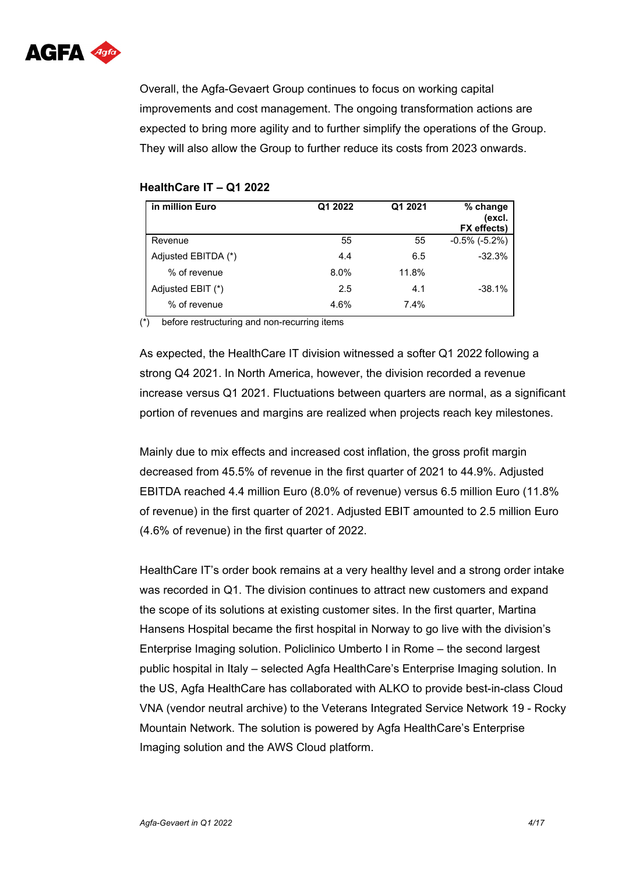

Overall, the Agfa-Gevaert Group continues to focus on working capital improvements and cost management. The ongoing transformation actions are expected to bring more agility and to further simplify the operations of the Group. They will also allow the Group to further reduce its costs from 2023 onwards.

| in million Euro     | Q1 2022 | Q1 2021 | % change<br>(excl.<br>FX effects) |
|---------------------|---------|---------|-----------------------------------|
| Revenue             | 55      | 55      | $-0.5\%$ ( $-5.2\%$ )             |
| Adjusted EBITDA (*) | 4.4     | 6.5     | $-32.3%$                          |
| % of revenue        | 8.0%    | 11.8%   |                                   |
| Adjusted EBIT (*)   | 2.5     | 4.1     | $-38.1%$                          |
| % of revenue        | 4.6%    | 7.4%    |                                   |

#### **HealthCare IT – Q1 2022**

(\*) before restructuring and non-recurring items

As expected, the HealthCare IT division witnessed a softer Q1 2022 following a strong Q4 2021. In North America, however, the division recorded a revenue increase versus Q1 2021. Fluctuations between quarters are normal, as a significant portion of revenues and margins are realized when projects reach key milestones.

Mainly due to mix effects and increased cost inflation, the gross profit margin decreased from 45.5% of revenue in the first quarter of 2021 to 44.9%. Adjusted EBITDA reached 4.4 million Euro (8.0% of revenue) versus 6.5 million Euro (11.8% of revenue) in the first quarter of 2021. Adjusted EBIT amounted to 2.5 million Euro (4.6% of revenue) in the first quarter of 2022.

HealthCare IT's order book remains at a very healthy level and a strong order intake was recorded in Q1. The division continues to attract new customers and expand the scope of its solutions at existing customer sites. In the first quarter, Martina Hansens Hospital became the first hospital in Norway to go live with the division's Enterprise Imaging solution. Policlinico Umberto I in Rome – the second largest public hospital in Italy – selected Agfa HealthCare's Enterprise Imaging solution. In the US, Agfa HealthCare has collaborated with ALKO to provide best-in-class Cloud VNA (vendor neutral archive) to the Veterans Integrated Service Network 19 - Rocky Mountain Network. The solution is powered by Agfa HealthCare's Enterprise Imaging solution and the AWS Cloud platform.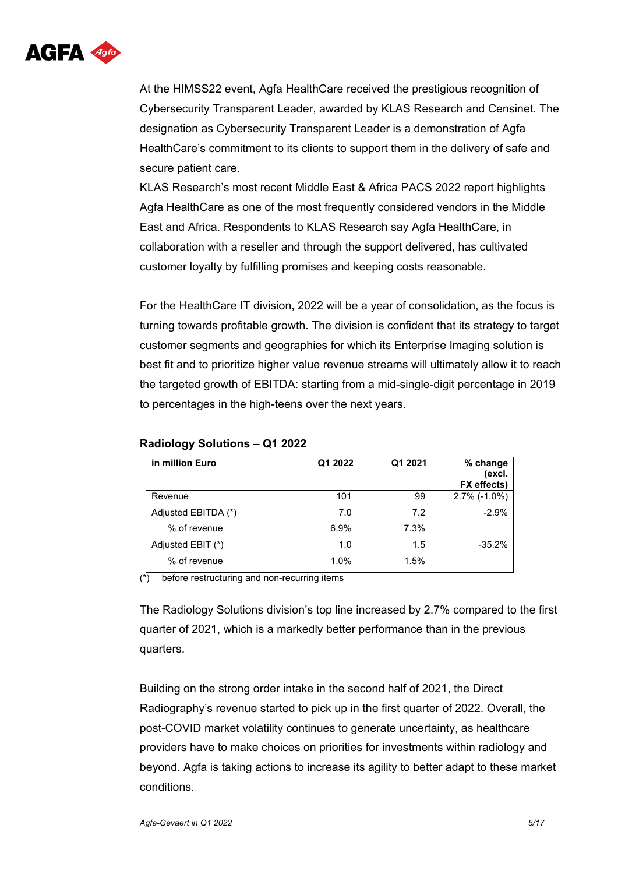

At the HIMSS22 event, Agfa HealthCare received the prestigious recognition of Cybersecurity Transparent Leader, awarded by KLAS Research and Censinet. The designation as Cybersecurity Transparent Leader is a demonstration of Agfa HealthCare's commitment to its clients to support them in the delivery of safe and secure patient care.

KLAS Research's most recent Middle East & Africa PACS 2022 report highlights Agfa HealthCare as one of the most frequently considered vendors in the Middle East and Africa. Respondents to KLAS Research say Agfa HealthCare, in collaboration with a reseller and through the support delivered, has cultivated customer loyalty by fulfilling promises and keeping costs reasonable.

For the HealthCare IT division, 2022 will be a year of consolidation, as the focus is turning towards profitable growth. The division is confident that its strategy to target customer segments and geographies for which its Enterprise Imaging solution is best fit and to prioritize higher value revenue streams will ultimately allow it to reach the targeted growth of EBITDA: starting from a mid-single-digit percentage in 2019 to percentages in the high-teens over the next years.

| in million Euro     | Q1 2022 | Q1 2021 | % change<br>(excl.<br>FX effects) |
|---------------------|---------|---------|-----------------------------------|
| Revenue             | 101     | 99      | $2.7\%$ (-1.0%)                   |
| Adjusted EBITDA (*) | 7.0     | 7.2     | $-2.9%$                           |
| % of revenue        | 6.9%    | 7.3%    |                                   |
| Adjusted EBIT (*)   | 1.0     | 1.5     | $-35.2\%$                         |
| % of revenue        | 1.0%    | 1.5%    |                                   |

#### **Radiology Solutions – Q1 2022**

(\*) before restructuring and non-recurring items

The Radiology Solutions division's top line increased by 2.7% compared to the first quarter of 2021, which is a markedly better performance than in the previous quarters.

Building on the strong order intake in the second half of 2021, the Direct Radiography's revenue started to pick up in the first quarter of 2022. Overall, the post-COVID market volatility continues to generate uncertainty, as healthcare providers have to make choices on priorities for investments within radiology and beyond. Agfa is taking actions to increase its agility to better adapt to these market conditions.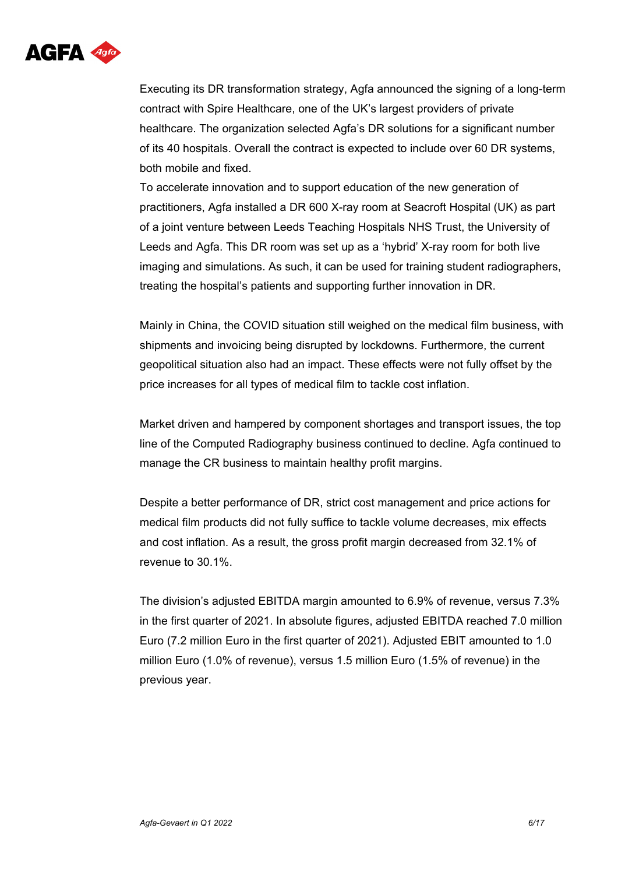

Executing its DR transformation strategy, Agfa announced the signing of a long-term contract with Spire Healthcare, one of the UK's largest providers of private healthcare. The organization selected Agfa's DR solutions for a significant number of its 40 hospitals. Overall the contract is expected to include over 60 DR systems, both mobile and fixed.

To accelerate innovation and to support education of the new generation of practitioners, Agfa installed a DR 600 X-ray room at Seacroft Hospital (UK) as part of a joint venture between Leeds Teaching Hospitals NHS Trust, the University of Leeds and Agfa. This DR room was set up as a 'hybrid' X-ray room for both live imaging and simulations. As such, it can be used for training student radiographers, treating the hospital's patients and supporting further innovation in DR.

Mainly in China, the COVID situation still weighed on the medical film business, with shipments and invoicing being disrupted by lockdowns. Furthermore, the current geopolitical situation also had an impact. These effects were not fully offset by the price increases for all types of medical film to tackle cost inflation.

Market driven and hampered by component shortages and transport issues, the top line of the Computed Radiography business continued to decline. Agfa continued to manage the CR business to maintain healthy profit margins.

Despite a better performance of DR, strict cost management and price actions for medical film products did not fully suffice to tackle volume decreases, mix effects and cost inflation. As a result, the gross profit margin decreased from 32.1% of revenue to 30.1%.

The division's adjusted EBITDA margin amounted to 6.9% of revenue, versus 7.3% in the first quarter of 2021. In absolute figures, adjusted EBITDA reached 7.0 million Euro (7.2 million Euro in the first quarter of 2021). Adjusted EBIT amounted to 1.0 million Euro (1.0% of revenue), versus 1.5 million Euro (1.5% of revenue) in the previous year.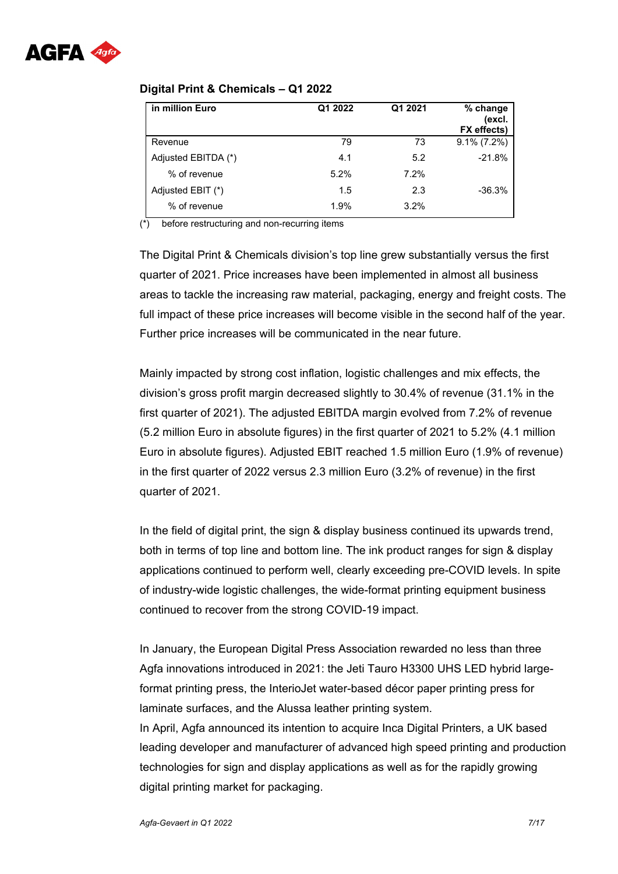

#### **Digital Print & Chemicals – Q1 2022**

| in million Euro     | Q1 2022 | Q1 2021 | % change<br>(excl.<br>FX effects) |
|---------------------|---------|---------|-----------------------------------|
| Revenue             | 79      | 73      | $9.1\% (7.2\%)$                   |
| Adjusted EBITDA (*) | 4.1     | 5.2     | $-21.8%$                          |
| % of revenue        | 5.2%    | 7.2%    |                                   |
| Adjusted EBIT (*)   | 1.5     | 2.3     | $-36.3%$                          |
| % of revenue        | 1.9%    | 3.2%    |                                   |

(\*) before restructuring and non-recurring items

The Digital Print & Chemicals division's top line grew substantially versus the first quarter of 2021. Price increases have been implemented in almost all business areas to tackle the increasing raw material, packaging, energy and freight costs. The full impact of these price increases will become visible in the second half of the year. Further price increases will be communicated in the near future.

Mainly impacted by strong cost inflation, logistic challenges and mix effects, the division's gross profit margin decreased slightly to 30.4% of revenue (31.1% in the first quarter of 2021). The adjusted EBITDA margin evolved from 7.2% of revenue (5.2 million Euro in absolute figures) in the first quarter of 2021 to 5.2% (4.1 million Euro in absolute figures). Adjusted EBIT reached 1.5 million Euro (1.9% of revenue) in the first quarter of 2022 versus 2.3 million Euro (3.2% of revenue) in the first quarter of 2021.

In the field of digital print, the sign & display business continued its upwards trend, both in terms of top line and bottom line. The ink product ranges for sign & display applications continued to perform well, clearly exceeding pre-COVID levels. In spite of industry-wide logistic challenges, the wide-format printing equipment business continued to recover from the strong COVID-19 impact.

In January, the European Digital Press Association rewarded no less than three Agfa innovations introduced in 2021: the Jeti Tauro H3300 UHS LED hybrid largeformat printing press, the InterioJet water-based décor paper printing press for laminate surfaces, and the Alussa leather printing system. In April, Agfa announced its intention to acquire Inca Digital Printers, a UK based leading developer and manufacturer of advanced high speed printing and production technologies for sign and display applications as well as for the rapidly growing digital printing market for packaging.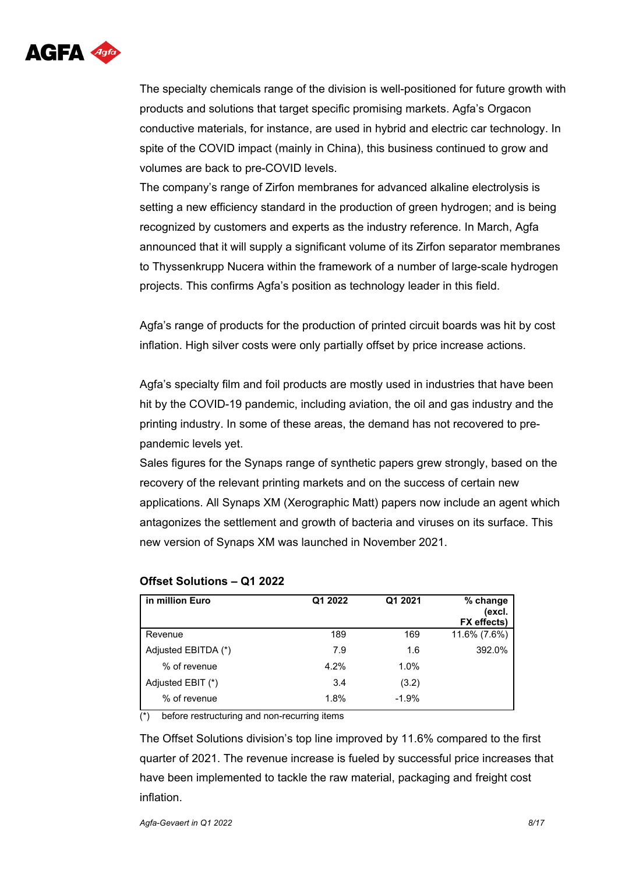

The specialty chemicals range of the division is well-positioned for future growth with products and solutions that target specific promising markets. Agfa's Orgacon conductive materials, for instance, are used in hybrid and electric car technology. In spite of the COVID impact (mainly in China), this business continued to grow and volumes are back to pre-COVID levels.

The company's range of Zirfon membranes for advanced alkaline electrolysis is setting a new efficiency standard in the production of green hydrogen; and is being recognized by customers and experts as the industry reference. In March, Agfa announced that it will supply a significant volume of its Zirfon separator membranes to Thyssenkrupp Nucera within the framework of a number of large-scale hydrogen projects. This confirms Agfa's position as technology leader in this field.

Agfa's range of products for the production of printed circuit boards was hit by cost inflation. High silver costs were only partially offset by price increase actions.

Agfa's specialty film and foil products are mostly used in industries that have been hit by the COVID-19 pandemic, including aviation, the oil and gas industry and the printing industry. In some of these areas, the demand has not recovered to prepandemic levels yet.

Sales figures for the Synaps range of synthetic papers grew strongly, based on the recovery of the relevant printing markets and on the success of certain new applications. All Synaps XM (Xerographic Matt) papers now include an agent which antagonizes the settlement and growth of bacteria and viruses on its surface. This new version of Synaps XM was launched in November 2021.

| in million Euro     | Q1 2022 | Q1 2021 | % change<br>(excl.<br>FX effects) |
|---------------------|---------|---------|-----------------------------------|
| Revenue             | 189     | 169     | 11.6% (7.6%)                      |
| Adjusted EBITDA (*) | 7.9     | 1.6     | 392.0%                            |
| % of revenue        | 4.2%    | 1.0%    |                                   |
| Adjusted EBIT (*)   | 3.4     | (3.2)   |                                   |
| % of revenue        | 1.8%    | $-1.9%$ |                                   |

#### **Offset Solutions – Q1 2022**

 $\overline{(*)}$  before restructuring and non-recurring items

The Offset Solutions division's top line improved by 11.6% compared to the first quarter of 2021. The revenue increase is fueled by successful price increases that have been implemented to tackle the raw material, packaging and freight cost inflation.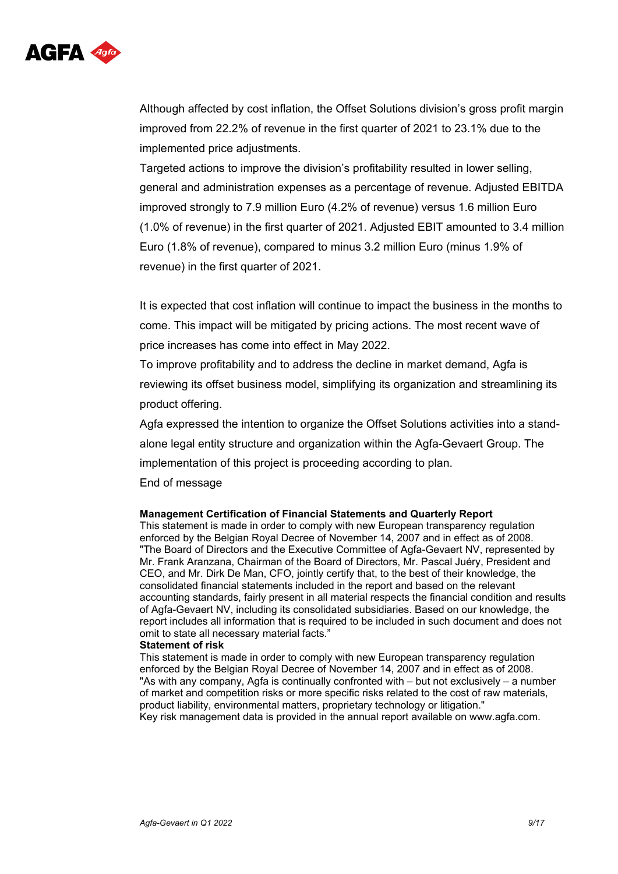

Although affected by cost inflation, the Offset Solutions division's gross profit margin improved from 22.2% of revenue in the first quarter of 2021 to 23.1% due to the implemented price adjustments.

Targeted actions to improve the division's profitability resulted in lower selling, general and administration expenses as a percentage of revenue. Adjusted EBITDA improved strongly to 7.9 million Euro (4.2% of revenue) versus 1.6 million Euro (1.0% of revenue) in the first quarter of 2021. Adjusted EBIT amounted to 3.4 million Euro (1.8% of revenue), compared to minus 3.2 million Euro (minus 1.9% of revenue) in the first quarter of 2021.

It is expected that cost inflation will continue to impact the business in the months to come. This impact will be mitigated by pricing actions. The most recent wave of price increases has come into effect in May 2022.

To improve profitability and to address the decline in market demand, Agfa is reviewing its offset business model, simplifying its organization and streamlining its product offering.

Agfa expressed the intention to organize the Offset Solutions activities into a standalone legal entity structure and organization within the Agfa-Gevaert Group. The implementation of this project is proceeding according to plan.

End of message

#### **Management Certification of Financial Statements and Quarterly Report**

This statement is made in order to comply with new European transparency regulation enforced by the Belgian Royal Decree of November 14, 2007 and in effect as of 2008. "The Board of Directors and the Executive Committee of Agfa-Gevaert NV, represented by Mr. Frank Aranzana, Chairman of the Board of Directors, Mr. Pascal Juéry, President and CEO, and Mr. Dirk De Man, CFO, jointly certify that, to the best of their knowledge, the consolidated financial statements included in the report and based on the relevant accounting standards, fairly present in all material respects the financial condition and results of Agfa-Gevaert NV, including its consolidated subsidiaries. Based on our knowledge, the report includes all information that is required to be included in such document and does not omit to state all necessary material facts."

#### **Statement of risk**

This statement is made in order to comply with new European transparency regulation enforced by the Belgian Royal Decree of November 14, 2007 and in effect as of 2008. "As with any company, Agfa is continually confronted with – but not exclusively – a number of market and competition risks or more specific risks related to the cost of raw materials, product liability, environmental matters, proprietary technology or litigation." Key risk management data is provided in the annual report available on www.agfa.com.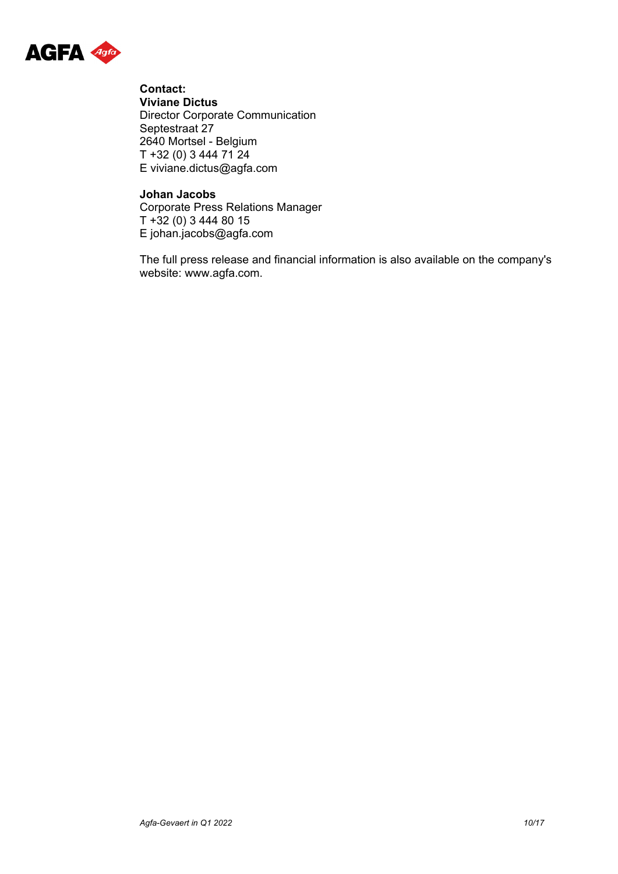

**Contact: Viviane Dictus** Director Corporate Communication Septestraat 27 2640 Mortsel - Belgium T +32 (0) 3 444 71 24 E viviane.dictus@agfa.com

### **Johan Jacobs**

Corporate Press Relations Manager T +32 (0) 3 444 80 15 E johan.jacobs@agfa.com

The full press release and financial information is also available on the company's website: www.agfa.com.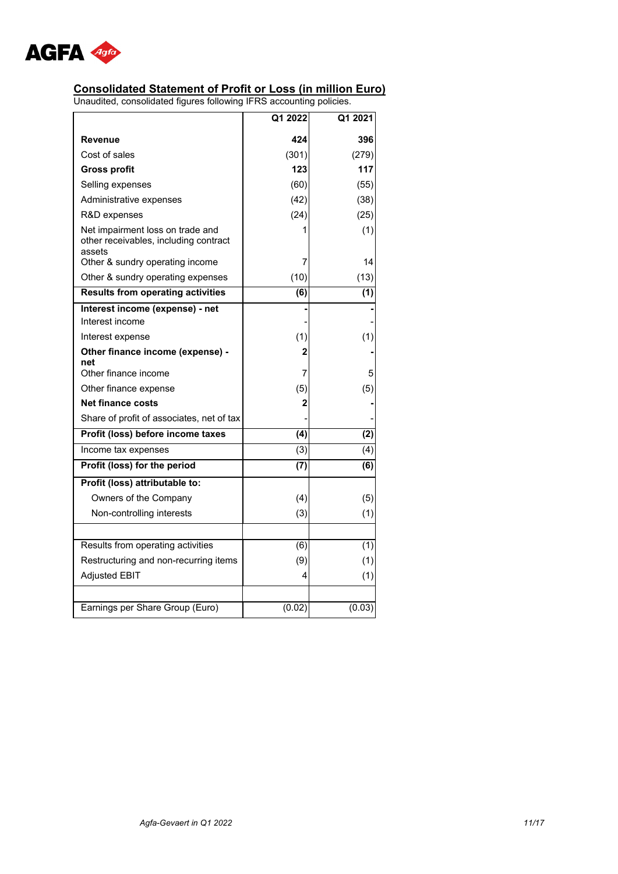

#### **Consolidated Statement of Profit or Loss (in million Euro)**

|                                                                                                                        | Q1 2022          | Q1 2021   |
|------------------------------------------------------------------------------------------------------------------------|------------------|-----------|
| Revenue                                                                                                                | 424              | 396       |
| Cost of sales                                                                                                          | (301)            | (279)     |
| <b>Gross profit</b>                                                                                                    | 123              | 117       |
| Selling expenses                                                                                                       | (60)             | (55)      |
| Administrative expenses                                                                                                | (42)             | (38)      |
| R&D expenses                                                                                                           | (24)             | (25)      |
| Net impairment loss on trade and<br>other receivables, including contract<br>assets<br>Other & sundry operating income | 1<br>7           | (1)<br>14 |
| Other & sundry operating expenses                                                                                      | (10)             | (13)      |
| <b>Results from operating activities</b>                                                                               | (6)              | (1)       |
|                                                                                                                        |                  |           |
| Interest income (expense) - net<br>Interest income                                                                     |                  |           |
| Interest expense                                                                                                       | (1)              | (1)       |
| Other finance income (expense) -                                                                                       | 2                |           |
| net                                                                                                                    |                  |           |
| Other finance income                                                                                                   | 7                | 5         |
| Other finance expense                                                                                                  | (5)              | (5)       |
| <b>Net finance costs</b>                                                                                               | 2                |           |
| Share of profit of associates, net of tax                                                                              |                  |           |
| Profit (loss) before income taxes                                                                                      | $\overline{(4)}$ | (2)       |
| Income tax expenses                                                                                                    | (3)              | (4)       |
| Profit (loss) for the period                                                                                           | (7)              | (6)       |
| Profit (loss) attributable to:                                                                                         |                  |           |
| Owners of the Company                                                                                                  | (4)              | (5)       |
| Non-controlling interests                                                                                              | (3)              | (1)       |
|                                                                                                                        |                  |           |
| Results from operating activities                                                                                      | (6)              | (1)       |
| Restructuring and non-recurring items                                                                                  | (9)              | (1)       |
| <b>Adjusted EBIT</b>                                                                                                   | 4                | (1)       |
|                                                                                                                        |                  |           |
| Earnings per Share Group (Euro)                                                                                        | (0.02)           | (0.03)    |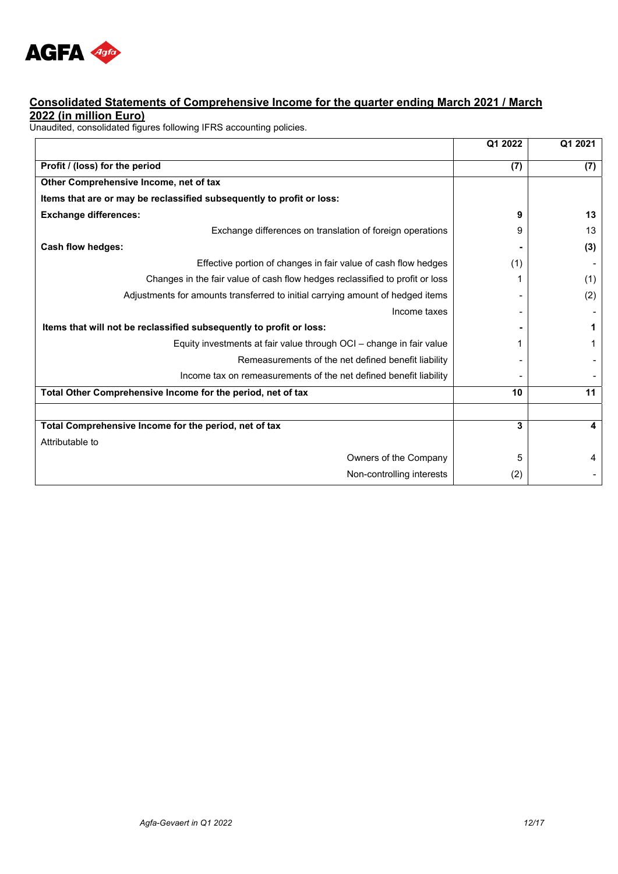

### **Consolidated Statements of Comprehensive Income for the quarter ending March 2021 / March**  2022 (in million Euro)<br>Unaudited, consolidated figures following IFRS accounting policies.

| Profit / (loss) for the period<br>(7)<br>(7)<br>Other Comprehensive Income, net of tax<br>Items that are or may be reclassified subsequently to profit or loss:<br><b>Exchange differences:</b><br>13<br>9<br>Exchange differences on translation of foreign operations<br>13<br>9<br>Cash flow hedges:<br>(3)<br>Effective portion of changes in fair value of cash flow hedges<br>(1)<br>Changes in the fair value of cash flow hedges reclassified to profit or loss<br>(1)<br>Adjustments for amounts transferred to initial carrying amount of hedged items<br>(2)<br>Income taxes<br>Items that will not be reclassified subsequently to profit or loss:<br>1<br>Equity investments at fair value through OCI – change in fair value<br>1<br>Remeasurements of the net defined benefit liability<br>Income tax on remeasurements of the net defined benefit liability |
|-----------------------------------------------------------------------------------------------------------------------------------------------------------------------------------------------------------------------------------------------------------------------------------------------------------------------------------------------------------------------------------------------------------------------------------------------------------------------------------------------------------------------------------------------------------------------------------------------------------------------------------------------------------------------------------------------------------------------------------------------------------------------------------------------------------------------------------------------------------------------------|
|                                                                                                                                                                                                                                                                                                                                                                                                                                                                                                                                                                                                                                                                                                                                                                                                                                                                             |
|                                                                                                                                                                                                                                                                                                                                                                                                                                                                                                                                                                                                                                                                                                                                                                                                                                                                             |
|                                                                                                                                                                                                                                                                                                                                                                                                                                                                                                                                                                                                                                                                                                                                                                                                                                                                             |
|                                                                                                                                                                                                                                                                                                                                                                                                                                                                                                                                                                                                                                                                                                                                                                                                                                                                             |
|                                                                                                                                                                                                                                                                                                                                                                                                                                                                                                                                                                                                                                                                                                                                                                                                                                                                             |
|                                                                                                                                                                                                                                                                                                                                                                                                                                                                                                                                                                                                                                                                                                                                                                                                                                                                             |
|                                                                                                                                                                                                                                                                                                                                                                                                                                                                                                                                                                                                                                                                                                                                                                                                                                                                             |
|                                                                                                                                                                                                                                                                                                                                                                                                                                                                                                                                                                                                                                                                                                                                                                                                                                                                             |
|                                                                                                                                                                                                                                                                                                                                                                                                                                                                                                                                                                                                                                                                                                                                                                                                                                                                             |
|                                                                                                                                                                                                                                                                                                                                                                                                                                                                                                                                                                                                                                                                                                                                                                                                                                                                             |
|                                                                                                                                                                                                                                                                                                                                                                                                                                                                                                                                                                                                                                                                                                                                                                                                                                                                             |
|                                                                                                                                                                                                                                                                                                                                                                                                                                                                                                                                                                                                                                                                                                                                                                                                                                                                             |
|                                                                                                                                                                                                                                                                                                                                                                                                                                                                                                                                                                                                                                                                                                                                                                                                                                                                             |
|                                                                                                                                                                                                                                                                                                                                                                                                                                                                                                                                                                                                                                                                                                                                                                                                                                                                             |
|                                                                                                                                                                                                                                                                                                                                                                                                                                                                                                                                                                                                                                                                                                                                                                                                                                                                             |
| 11<br>Total Other Comprehensive Income for the period, net of tax<br>10                                                                                                                                                                                                                                                                                                                                                                                                                                                                                                                                                                                                                                                                                                                                                                                                     |
|                                                                                                                                                                                                                                                                                                                                                                                                                                                                                                                                                                                                                                                                                                                                                                                                                                                                             |
| Total Comprehensive Income for the period, net of tax<br>3<br>4                                                                                                                                                                                                                                                                                                                                                                                                                                                                                                                                                                                                                                                                                                                                                                                                             |
| Attributable to                                                                                                                                                                                                                                                                                                                                                                                                                                                                                                                                                                                                                                                                                                                                                                                                                                                             |
| Owners of the Company<br>4<br>5                                                                                                                                                                                                                                                                                                                                                                                                                                                                                                                                                                                                                                                                                                                                                                                                                                             |
| Non-controlling interests<br>(2)                                                                                                                                                                                                                                                                                                                                                                                                                                                                                                                                                                                                                                                                                                                                                                                                                                            |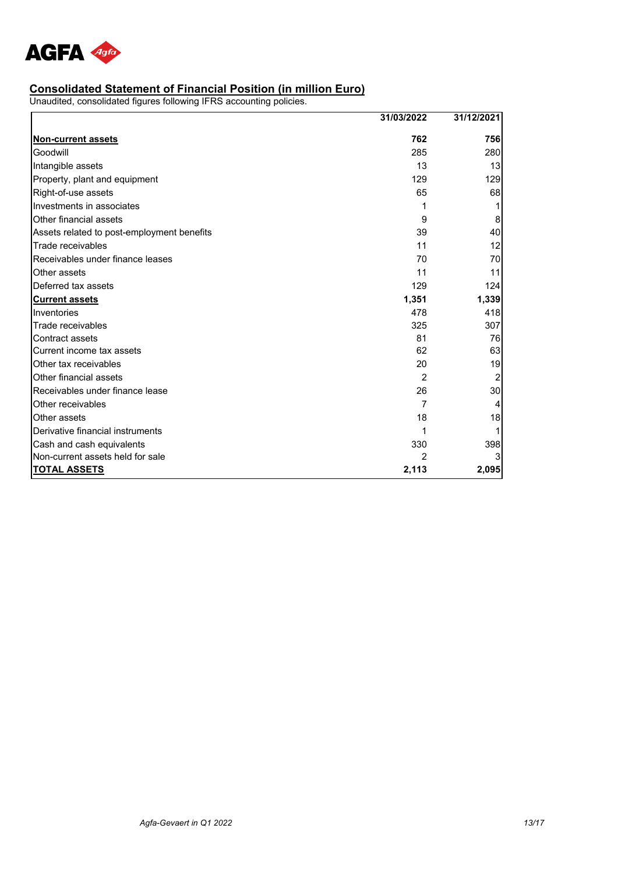

#### **Consolidated Statement of Financial Position (in million Euro)**

|                                            | 31/03/2022     | 31/12/2021 |
|--------------------------------------------|----------------|------------|
| <b>Non-current assets</b>                  | 762            | 756        |
| Goodwill                                   | 285            | 280        |
| Intangible assets                          | 13             | 13         |
| Property, plant and equipment              | 129            | 129        |
| Right-of-use assets                        | 65             | 68         |
| Investments in associates                  | 1              |            |
| Other financial assets                     | 9              | 8          |
| Assets related to post-employment benefits | 39             | 40         |
| Trade receivables                          | 11             | 12         |
| Receivables under finance leases           | 70             | 70         |
| Other assets                               | 11             | 11         |
| Deferred tax assets                        | 129            | 124        |
| <b>Current assets</b>                      | 1,351          | 1,339      |
| Inventories                                | 478            | 418        |
| Trade receivables                          | 325            | 307        |
| Contract assets                            | 81             | 76         |
| Current income tax assets                  | 62             | 63         |
| Other tax receivables                      | 20             | 19         |
| Other financial assets                     | $\overline{2}$ |            |
| Receivables under finance lease            | 26             | 30         |
| Other receivables                          | 7              |            |
| Other assets                               | 18             | 18         |
| Derivative financial instruments           |                |            |
| Cash and cash equivalents                  | 330            | 398        |
| Non-current assets held for sale           |                |            |
| <b>TOTAL ASSETS</b>                        | 2,113          | 2,095      |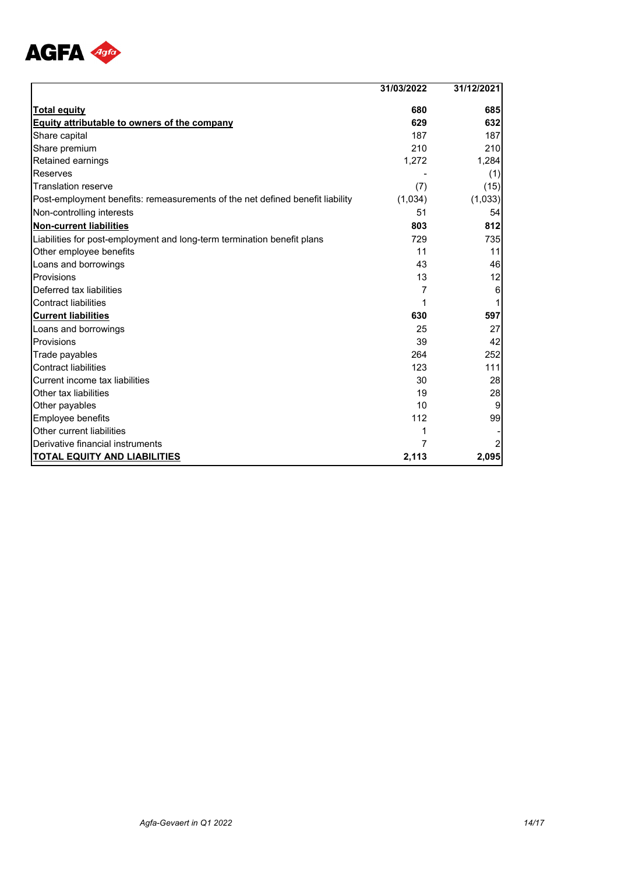

|                                                                               | 31/03/2022 | 31/12/2021 |
|-------------------------------------------------------------------------------|------------|------------|
| <b>Total equity</b>                                                           | 680        | 685        |
| <b>Equity attributable to owners of the company</b>                           | 629        | 632        |
| Share capital                                                                 | 187        | 187        |
| Share premium                                                                 | 210        | 210        |
| Retained earnings                                                             | 1,272      | 1,284      |
| Reserves                                                                      |            | (1)        |
| <b>Translation reserve</b>                                                    | (7)        | (15)       |
| Post-employment benefits: remeasurements of the net defined benefit liability | (1,034)    | (1,033)    |
| Non-controlling interests                                                     | 51         | 54         |
| <b>Non-current liabilities</b>                                                | 803        | 812        |
| Liabilities for post-employment and long-term termination benefit plans       | 729        | 735        |
| Other employee benefits                                                       | 11         | 11         |
| Loans and borrowings                                                          | 43         | 46         |
| Provisions                                                                    | 13         | 12         |
| Deferred tax liabilities                                                      | 7          | 6          |
| <b>Contract liabilities</b>                                                   |            |            |
| <b>Current liabilities</b>                                                    | 630        | 597        |
| Loans and borrowings                                                          | 25         | 27         |
| Provisions                                                                    | 39         | 42         |
| Trade payables                                                                | 264        | 252        |
| <b>Contract liabilities</b>                                                   | 123        | 111        |
| Current income tax liabilities                                                | 30         | 28         |
| Other tax liabilities                                                         | 19         | 28         |
| Other payables                                                                | 10         | 9          |
| Employee benefits                                                             | 112        | 99         |
| Other current liabilities                                                     |            |            |
| Derivative financial instruments                                              |            | 2          |
| <b>TOTAL EQUITY AND LIABILITIES</b>                                           | 2,113      | 2,095      |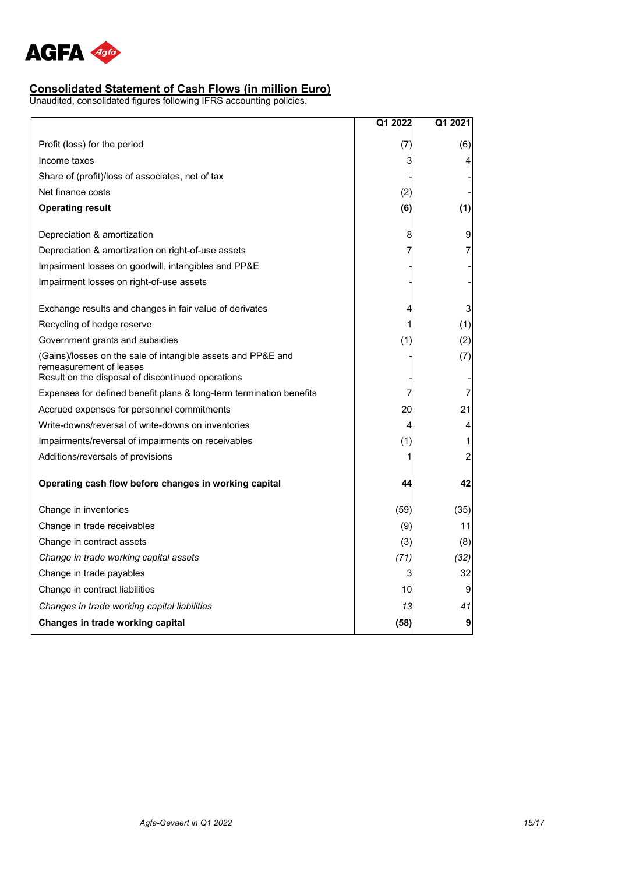

#### **Consolidated Statement of Cash Flows (in million Euro)**

|                                                                                                                                              | Q1 2022 | Q1 2021                 |
|----------------------------------------------------------------------------------------------------------------------------------------------|---------|-------------------------|
| Profit (loss) for the period                                                                                                                 | (7)     | (6)                     |
| Income taxes                                                                                                                                 | 3       | 4                       |
| Share of (profit)/loss of associates, net of tax                                                                                             |         |                         |
| Net finance costs                                                                                                                            | (2)     |                         |
| <b>Operating result</b>                                                                                                                      | (6)     | (1)                     |
| Depreciation & amortization                                                                                                                  | 8       | 9                       |
| Depreciation & amortization on right-of-use assets                                                                                           | 7       | 7                       |
| Impairment losses on goodwill, intangibles and PP&E                                                                                          |         |                         |
| Impairment losses on right-of-use assets                                                                                                     |         |                         |
| Exchange results and changes in fair value of derivates                                                                                      | 4       | 3                       |
| Recycling of hedge reserve                                                                                                                   |         | (1)                     |
| Government grants and subsidies                                                                                                              | (1)     | (2)                     |
| (Gains)/losses on the sale of intangible assets and PP&E and<br>remeasurement of leases<br>Result on the disposal of discontinued operations |         | (7)                     |
| Expenses for defined benefit plans & long-term termination benefits                                                                          | 7       | 7                       |
| Accrued expenses for personnel commitments                                                                                                   | 20      | 21                      |
| Write-downs/reversal of write-downs on inventories                                                                                           | 4       | 4                       |
| Impairments/reversal of impairments on receivables                                                                                           | (1)     | 1                       |
| Additions/reversals of provisions                                                                                                            | 1       | $\overline{\mathbf{c}}$ |
| Operating cash flow before changes in working capital                                                                                        | 44      | 42                      |
| Change in inventories                                                                                                                        | (59)    | (35)                    |
| Change in trade receivables                                                                                                                  | (9)     | 11                      |
| Change in contract assets                                                                                                                    | (3)     | (8)                     |
| Change in trade working capital assets                                                                                                       | (71)    | (32)                    |
| Change in trade payables                                                                                                                     | 3       | 32                      |
| Change in contract liabilities                                                                                                               | 10      | 9                       |
| Changes in trade working capital liabilities                                                                                                 | 13      | 41                      |
| Changes in trade working capital                                                                                                             | (58)    | $\boldsymbol{9}$        |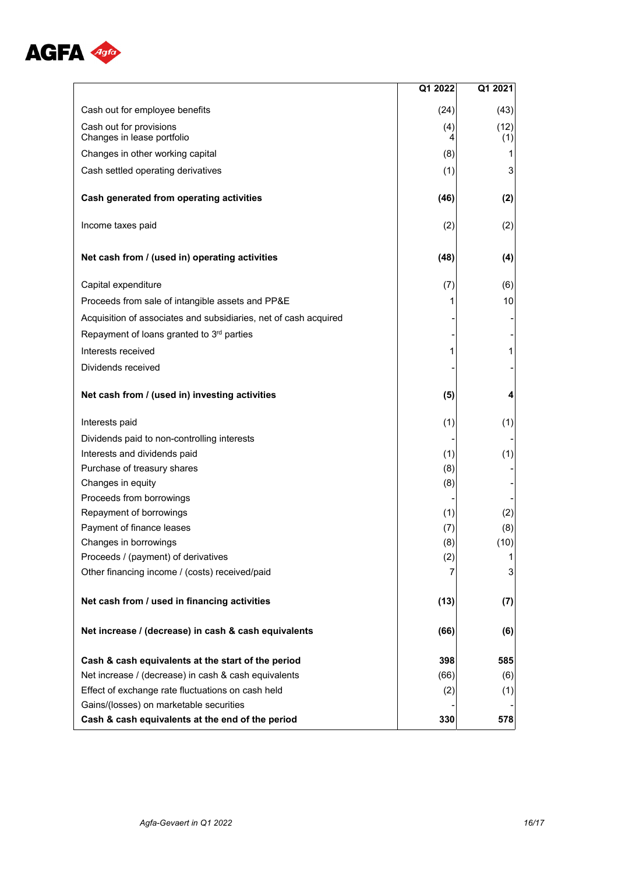

|                                                                  | Q1 2022  | Q1 2021                 |
|------------------------------------------------------------------|----------|-------------------------|
| Cash out for employee benefits                                   | (24)     | (43)                    |
| Cash out for provisions<br>Changes in lease portfolio            | (4)<br>4 | (12)<br>(1)             |
| Changes in other working capital                                 | (8)      | 1                       |
| Cash settled operating derivatives                               | (1)      | 3                       |
| Cash generated from operating activities                         | (46)     | (2)                     |
| Income taxes paid                                                | (2)      | (2)                     |
| Net cash from / (used in) operating activities                   | (48)     | (4)                     |
| Capital expenditure                                              | (7)      | (6)                     |
| Proceeds from sale of intangible assets and PP&E                 |          | 10                      |
| Acquisition of associates and subsidiaries, net of cash acquired |          |                         |
| Repayment of loans granted to 3rd parties                        |          |                         |
| Interests received                                               | 1        | $\mathbf{1}$            |
| Dividends received                                               |          |                         |
| Net cash from / (used in) investing activities                   | (5)      | $\overline{\mathbf{4}}$ |
| Interests paid                                                   | (1)      | (1)                     |
| Dividends paid to non-controlling interests                      |          |                         |
| Interests and dividends paid                                     | (1)      | (1)                     |
| Purchase of treasury shares                                      | (8)      |                         |
| Changes in equity                                                | (8)      |                         |
| Proceeds from borrowings                                         |          |                         |
| Repayment of borrowings                                          | (1)      | (2)                     |
| Payment of finance leases                                        | (7)      | (8)                     |
| Changes in borrowings                                            | (8)      | (10)                    |
| Proceeds / (payment) of derivatives                              | (2)      | 11                      |
| Other financing income / (costs) received/paid                   |          | 3                       |
| Net cash from / used in financing activities                     | (13)     | (7)                     |
| Net increase / (decrease) in cash & cash equivalents             | (66)     | (6)                     |
| Cash & cash equivalents at the start of the period               | 398      | 585                     |
| Net increase / (decrease) in cash & cash equivalents             | (66)     | (6)                     |
| Effect of exchange rate fluctuations on cash held                | (2)      | (1)                     |
| Gains/(losses) on marketable securities                          |          |                         |
| Cash & cash equivalents at the end of the period                 | 330      | 578                     |